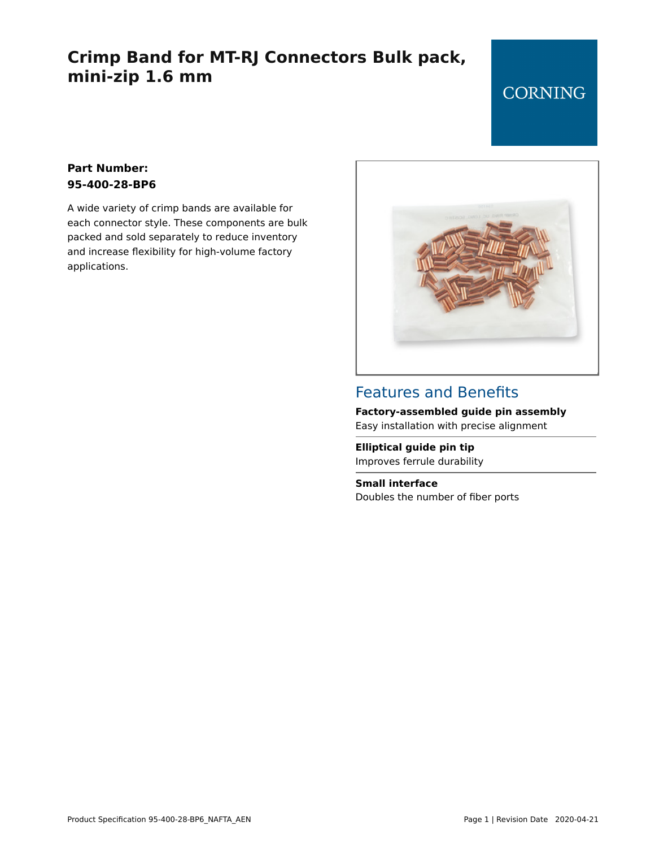# **Crimp Band for MT-RJ Connectors Bulk pack, mini-zip 1.6 mm**

## **CORNING**

#### **Part Number: 95-400-28-BP6**

A wide variety of crimp bands are available for each connector style. These components are bulk packed and sold separately to reduce inventory and increase flexibility for high-volume factory applications.



### Features and Benefits

**Factory-assembled guide pin assembly** Easy installation with precise alignment

**Elliptical guide pin tip** Improves ferrule durability

**Small interface** Doubles the number of fiber ports